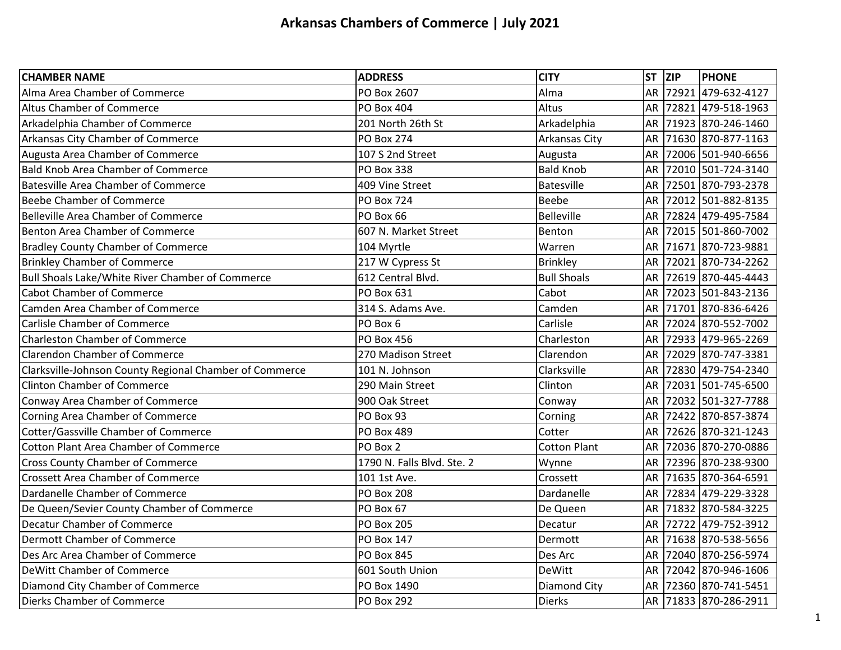| <b>CHAMBER NAME</b>                                     | <b>ADDRESS</b>             | <b>CITY</b>          | ST ZIP    | <b>PHONE</b>          |
|---------------------------------------------------------|----------------------------|----------------------|-----------|-----------------------|
| Alma Area Chamber of Commerce                           | PO Box 2607                | Alma                 | <b>AR</b> | 72921 479-632-4127    |
| <b>Altus Chamber of Commerce</b>                        | <b>PO Box 404</b>          | Altus                | AR        | 72821 479-518-1963    |
| Arkadelphia Chamber of Commerce                         | 201 North 26th St          | Arkadelphia          | AR        | 71923 870-246-1460    |
| Arkansas City Chamber of Commerce                       | <b>PO Box 274</b>          | <b>Arkansas City</b> | AR        | 71630 870-877-1163    |
| Augusta Area Chamber of Commerce                        | 107 S 2nd Street           | Augusta              | <b>AR</b> | 72006 501-940-6656    |
| <b>Bald Knob Area Chamber of Commerce</b>               | <b>PO Box 338</b>          | <b>Bald Knob</b>     | AR        | 72010 501-724-3140    |
| <b>Batesville Area Chamber of Commerce</b>              | 409 Vine Street            | Batesville           | AR        | 72501 870-793-2378    |
| <b>Beebe Chamber of Commerce</b>                        | <b>PO Box 724</b>          | <b>Beebe</b>         | <b>AR</b> | 72012 501-882-8135    |
| <b>Belleville Area Chamber of Commerce</b>              | PO Box 66                  | Belleville           | AR        | 72824 479-495-7584    |
| <b>Benton Area Chamber of Commerce</b>                  | 607 N. Market Street       | Benton               | <b>AR</b> | 72015 501-860-7002    |
| <b>Bradley County Chamber of Commerce</b>               | 104 Myrtle                 | Warren               | AR        | 71671 870-723-9881    |
| <b>Brinkley Chamber of Commerce</b>                     | 217 W Cypress St           | <b>Brinkley</b>      |           | AR 72021 870-734-2262 |
| Bull Shoals Lake/White River Chamber of Commerce        | 612 Central Blvd.          | <b>Bull Shoals</b>   | AR        | 72619 870-445-4443    |
| <b>Cabot Chamber of Commerce</b>                        | <b>PO Box 631</b>          | Cabot                | AR        | 72023 501-843-2136    |
| Camden Area Chamber of Commerce                         | 314 S. Adams Ave.          | Camden               | AR        | 71701 870-836-6426    |
| <b>Carlisle Chamber of Commerce</b>                     | PO Box 6                   | Carlisle             | <b>AR</b> | 72024 870-552-7002    |
| <b>Charleston Chamber of Commerce</b>                   | <b>PO Box 456</b>          | Charleston           | AR        | 72933 479-965-2269    |
| <b>Clarendon Chamber of Commerce</b>                    | 270 Madison Street         | Clarendon            | <b>AR</b> | 72029 870-747-3381    |
| Clarksville-Johnson County Regional Chamber of Commerce | 101 N. Johnson             | Clarksville          | AR        | 72830 479-754-2340    |
| <b>Clinton Chamber of Commerce</b>                      | 290 Main Street            | Clinton              | AR        | 72031 501-745-6500    |
| Conway Area Chamber of Commerce                         | 900 Oak Street             | Conway               | <b>AR</b> | 72032 501-327-7788    |
| Corning Area Chamber of Commerce                        | PO Box 93                  | Corning              | AR        | 72422 870-857-3874    |
| Cotter/Gassville Chamber of Commerce                    | PO Box 489                 | Cotter               | AR        | 72626 870-321-1243    |
| <b>Cotton Plant Area Chamber of Commerce</b>            | PO Box 2                   | <b>Cotton Plant</b>  | AR        | 72036 870-270-0886    |
| <b>Cross County Chamber of Commerce</b>                 | 1790 N. Falls Blvd. Ste. 2 | Wynne                | AR        | 72396 870-238-9300    |
| <b>Crossett Area Chamber of Commerce</b>                | 101 1st Ave.               | Crossett             | <b>AR</b> | 71635 870-364-6591    |
| Dardanelle Chamber of Commerce                          | <b>PO Box 208</b>          | Dardanelle           | AR        | 72834 479-229-3328    |
| De Queen/Sevier County Chamber of Commerce              | PO Box 67                  | De Queen             | <b>AR</b> | 71832 870-584-3225    |
| Decatur Chamber of Commerce                             | <b>PO Box 205</b>          | Decatur              | <b>AR</b> | 72722 479-752-3912    |
| <b>Dermott Chamber of Commerce</b>                      | <b>PO Box 147</b>          | Dermott              | AR        | 71638 870-538-5656    |
| Des Arc Area Chamber of Commerce                        | <b>PO Box 845</b>          | Des Arc              | AR        | 72040 870-256-5974    |
| DeWitt Chamber of Commerce                              | 601 South Union            | <b>DeWitt</b>        | <b>AR</b> | 72042 870-946-1606    |
| Diamond City Chamber of Commerce                        | PO Box 1490                | <b>Diamond City</b>  | AR        | 72360 870-741-5451    |
| Dierks Chamber of Commerce                              | <b>PO Box 292</b>          | <b>Dierks</b>        |           | AR 71833 870-286-2911 |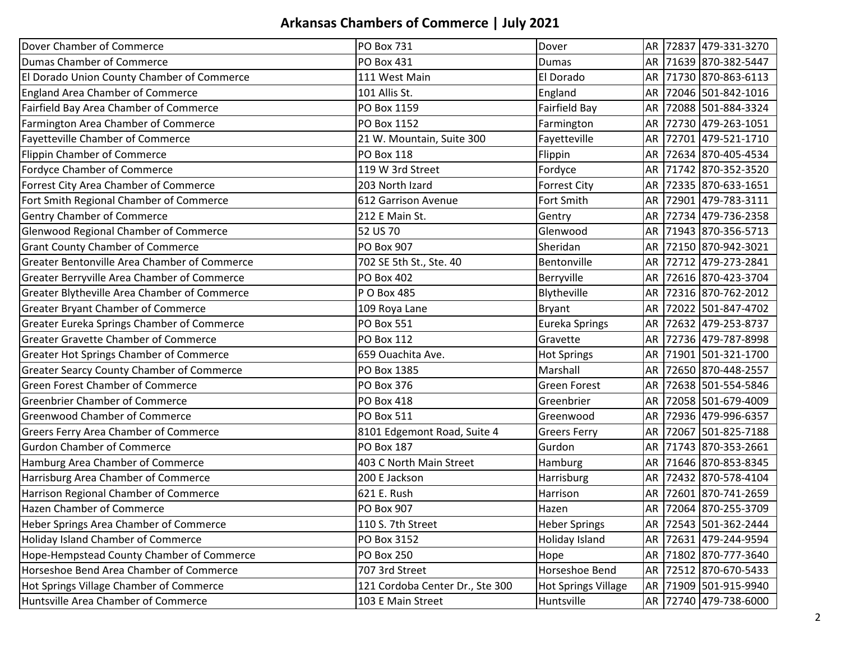| Dover Chamber of Commerce                        | <b>PO Box 731</b>               | Dover                      |           | AR 72837 479-331-3270 |
|--------------------------------------------------|---------------------------------|----------------------------|-----------|-----------------------|
| Dumas Chamber of Commerce                        | <b>PO Box 431</b>               | Dumas                      |           | AR 71639 870-382-5447 |
| El Dorado Union County Chamber of Commerce       | 111 West Main                   | El Dorado                  | AR        | 71730 870-863-6113    |
| <b>England Area Chamber of Commerce</b>          | 101 Allis St.                   | England                    | AR        | 72046 501-842-1016    |
| Fairfield Bay Area Chamber of Commerce           | PO Box 1159                     | Fairfield Bay              | AR        | 72088 501-884-3324    |
| Farmington Area Chamber of Commerce              | PO Box 1152                     | Farmington                 | AR        | 72730 479-263-1051    |
| Fayetteville Chamber of Commerce                 | 21 W. Mountain, Suite 300       | Fayetteville               | AR        | 72701 479-521-1710    |
| Flippin Chamber of Commerce                      | PO Box 118                      | Flippin                    | AR        | 72634 870-405-4534    |
| Fordyce Chamber of Commerce                      | 119 W 3rd Street                | Fordyce                    | AR        | 71742 870-352-3520    |
| Forrest City Area Chamber of Commerce            | 203 North Izard                 | <b>Forrest City</b>        | AR        | 72335 870-633-1651    |
| Fort Smith Regional Chamber of Commerce          | 612 Garrison Avenue             | Fort Smith                 | AR        | 72901 479-783-3111    |
| <b>Gentry Chamber of Commerce</b>                | 212 E Main St.                  | Gentry                     | AR        | 72734 479-736-2358    |
| <b>Glenwood Regional Chamber of Commerce</b>     | 52 US 70                        | Glenwood                   | AR        | 71943 870-356-5713    |
| <b>Grant County Chamber of Commerce</b>          | <b>PO Box 907</b>               | Sheridan                   |           | AR 72150 870-942-3021 |
| Greater Bentonville Area Chamber of Commerce     | 702 SE 5th St., Ste. 40         | Bentonville                | AR        | 72712 479-273-2841    |
| Greater Berryville Area Chamber of Commerce      | <b>PO Box 402</b>               | Berryville                 | AR        | 72616 870-423-3704    |
| Greater Blytheville Area Chamber of Commerce     | P O Box 485                     | Blytheville                | AR        | 72316 870-762-2012    |
| <b>Greater Bryant Chamber of Commerce</b>        | 109 Roya Lane                   | <b>Bryant</b>              | AR        | 72022 501-847-4702    |
| Greater Eureka Springs Chamber of Commerce       | <b>PO Box 551</b>               | <b>Eureka Springs</b>      | AR        | 72632 479-253-8737    |
| <b>Greater Gravette Chamber of Commerce</b>      | PO Box 112                      | Gravette                   |           | AR 72736 479-787-8998 |
| Greater Hot Springs Chamber of Commerce          | 659 Ouachita Ave.               | <b>Hot Springs</b>         | AR        | 71901 501-321-1700    |
| <b>Greater Searcy County Chamber of Commerce</b> | PO Box 1385                     | Marshall                   | AR        | 72650 870-448-2557    |
| <b>Green Forest Chamber of Commerce</b>          | <b>PO Box 376</b>               | <b>Green Forest</b>        | AR        | 72638 501-554-5846    |
| <b>Greenbrier Chamber of Commerce</b>            | <b>PO Box 418</b>               | Greenbrier                 | AR        | 72058 501-679-4009    |
| <b>Greenwood Chamber of Commerce</b>             | <b>PO Box 511</b>               | Greenwood                  | AR        | 72936 479-996-6357    |
| Greers Ferry Area Chamber of Commerce            | 8101 Edgemont Road, Suite 4     | <b>Greers Ferry</b>        | AR        | 72067 501-825-7188    |
| <b>Gurdon Chamber of Commerce</b>                | <b>PO Box 187</b>               | Gurdon                     | AR        | 71743 870-353-2661    |
| Hamburg Area Chamber of Commerce                 | 403 C North Main Street         | Hamburg                    | AR        | 71646 870-853-8345    |
| Harrisburg Area Chamber of Commerce              | 200 E Jackson                   | Harrisburg                 | AR        | 72432 870-578-4104    |
| Harrison Regional Chamber of Commerce            | 621 E. Rush                     | Harrison                   | AR        | 72601 870-741-2659    |
| <b>Hazen Chamber of Commerce</b>                 | <b>PO Box 907</b>               | Hazen                      |           | AR 72064 870-255-3709 |
| Heber Springs Area Chamber of Commerce           | 110 S. 7th Street               | <b>Heber Springs</b>       | AR        | 72543 501-362-2444    |
| <b>Holiday Island Chamber of Commerce</b>        | PO Box 3152                     | Holiday Island             | AR        | 72631 479-244-9594    |
| Hope-Hempstead County Chamber of Commerce        | <b>PO Box 250</b>               | Hope                       | AR        | 71802 870-777-3640    |
| Horseshoe Bend Area Chamber of Commerce          | 707 3rd Street                  | Horseshoe Bend             | AR        | 72512 870-670-5433    |
| Hot Springs Village Chamber of Commerce          | 121 Cordoba Center Dr., Ste 300 | <b>Hot Springs Village</b> | <b>AR</b> | 71909 501-915-9940    |
| Huntsville Area Chamber of Commerce              | 103 E Main Street               | Huntsville                 |           | AR 72740 479-738-6000 |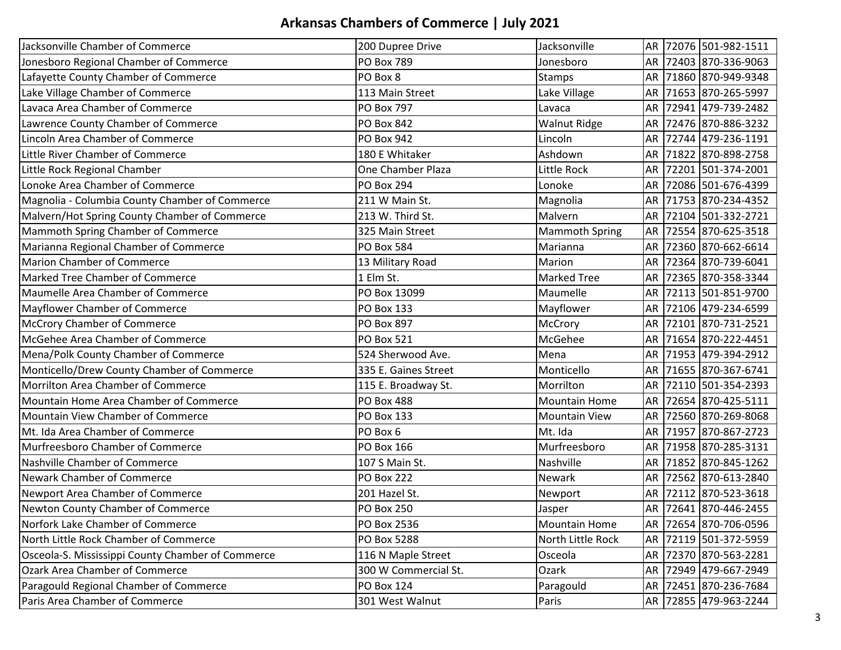| Jacksonville Chamber of Commerce                  | 200 Dupree Drive     | Jacksonville          |           |       | AR 72076 501-982-1511 |
|---------------------------------------------------|----------------------|-----------------------|-----------|-------|-----------------------|
| Jonesboro Regional Chamber of Commerce            | <b>PO Box 789</b>    | Jonesboro             |           |       | AR 72403 870-336-9063 |
| Lafayette County Chamber of Commerce              | PO Box 8             | <b>Stamps</b>         | AR        |       | 71860 870-949-9348    |
| Lake Village Chamber of Commerce                  | 113 Main Street      | Lake Village          | AR        |       | 71653 870-265-5997    |
| Lavaca Area Chamber of Commerce                   | <b>PO Box 797</b>    | Lavaca                | AR        |       | 72941 479-739-2482    |
| Lawrence County Chamber of Commerce               | <b>PO Box 842</b>    | <b>Walnut Ridge</b>   | AR        |       | 72476 870-886-3232    |
| Lincoln Area Chamber of Commerce                  | <b>PO Box 942</b>    | Lincoln               | AR        |       | 72744 479-236-1191    |
| Little River Chamber of Commerce                  | 180 E Whitaker       | Ashdown               | <b>AR</b> |       | 71822 870-898-2758    |
| Little Rock Regional Chamber                      | One Chamber Plaza    | Little Rock           | <b>AR</b> |       | 72201 501-374-2001    |
| Lonoke Area Chamber of Commerce                   | <b>PO Box 294</b>    | Lonoke                | AR        |       | 72086 501-676-4399    |
| Magnolia - Columbia County Chamber of Commerce    | 211 W Main St.       | Magnolia              | AR        |       | 71753 870-234-4352    |
| Malvern/Hot Spring County Chamber of Commerce     | 213 W. Third St.     | Malvern               | AR        | 72104 | 501-332-2721          |
| Mammoth Spring Chamber of Commerce                | 325 Main Street      | <b>Mammoth Spring</b> | <b>AR</b> |       | 72554 870-625-3518    |
| Marianna Regional Chamber of Commerce             | <b>PO Box 584</b>    | Marianna              | <b>AR</b> |       | 72360 870-662-6614    |
| <b>Marion Chamber of Commerce</b>                 | 13 Military Road     | Marion                | <b>AR</b> |       | 72364 870-739-6041    |
| Marked Tree Chamber of Commerce                   | 1 Elm St.            | <b>Marked Tree</b>    | AR        |       | 72365 870-358-3344    |
| Maumelle Area Chamber of Commerce                 | PO Box 13099         | Maumelle              | AR        |       | 72113 501-851-9700    |
| Mayflower Chamber of Commerce                     | <b>PO Box 133</b>    | Mayflower             | AR        |       | 72106 479-234-6599    |
| <b>McCrory Chamber of Commerce</b>                | <b>PO Box 897</b>    | McCrory               | AR        |       | 72101 870-731-2521    |
| McGehee Area Chamber of Commerce                  | <b>PO Box 521</b>    | McGehee               | <b>AR</b> |       | 71654 870-222-4451    |
| Mena/Polk County Chamber of Commerce              | 524 Sherwood Ave.    | Mena                  | AR        |       | 71953 479-394-2912    |
| Monticello/Drew County Chamber of Commerce        | 335 E. Gaines Street | Monticello            | AR        |       | 71655 870-367-6741    |
| Morrilton Area Chamber of Commerce                | 115 E. Broadway St.  | Morrilton             | AR        |       | 72110 501-354-2393    |
| Mountain Home Area Chamber of Commerce            | <b>PO Box 488</b>    | <b>Mountain Home</b>  | AR        |       | 72654 870-425-5111    |
| Mountain View Chamber of Commerce                 | <b>PO Box 133</b>    | <b>Mountain View</b>  | <b>AR</b> |       | 72560 870-269-8068    |
| Mt. Ida Area Chamber of Commerce                  | PO Box 6             | Mt. Ida               | AR        |       | 71957 870-867-2723    |
| Murfreesboro Chamber of Commerce                  | PO Box 166           | Murfreesboro          | AR        |       | 71958 870-285-3131    |
| Nashville Chamber of Commerce                     | 107 S Main St.       | Nashville             | AR        |       | 71852 870-845-1262    |
| Newark Chamber of Commerce                        | <b>PO Box 222</b>    | Newark                | AR        |       | 72562 870-613-2840    |
| Newport Area Chamber of Commerce                  | 201 Hazel St.        | Newport               | AR        |       | 72112 870-523-3618    |
| Newton County Chamber of Commerce                 | <b>PO Box 250</b>    | Jasper                |           |       | AR 72641 870-446-2455 |
| Norfork Lake Chamber of Commerce                  | PO Box 2536          | <b>Mountain Home</b>  |           |       | AR 72654 870-706-0596 |
| North Little Rock Chamber of Commerce             | PO Box 5288          | North Little Rock     | <b>AR</b> |       | 72119 501-372-5959    |
| Osceola-S. Mississippi County Chamber of Commerce | 116 N Maple Street   | Osceola               |           |       | AR 72370 870-563-2281 |
| Ozark Area Chamber of Commerce                    | 300 W Commercial St. | Ozark                 | AR        |       | 72949 479-667-2949    |
| Paragould Regional Chamber of Commerce            | <b>PO Box 124</b>    | Paragould             |           |       | AR 72451 870-236-7684 |
| Paris Area Chamber of Commerce                    | 301 West Walnut      | Paris                 |           |       | AR 72855 479-963-2244 |